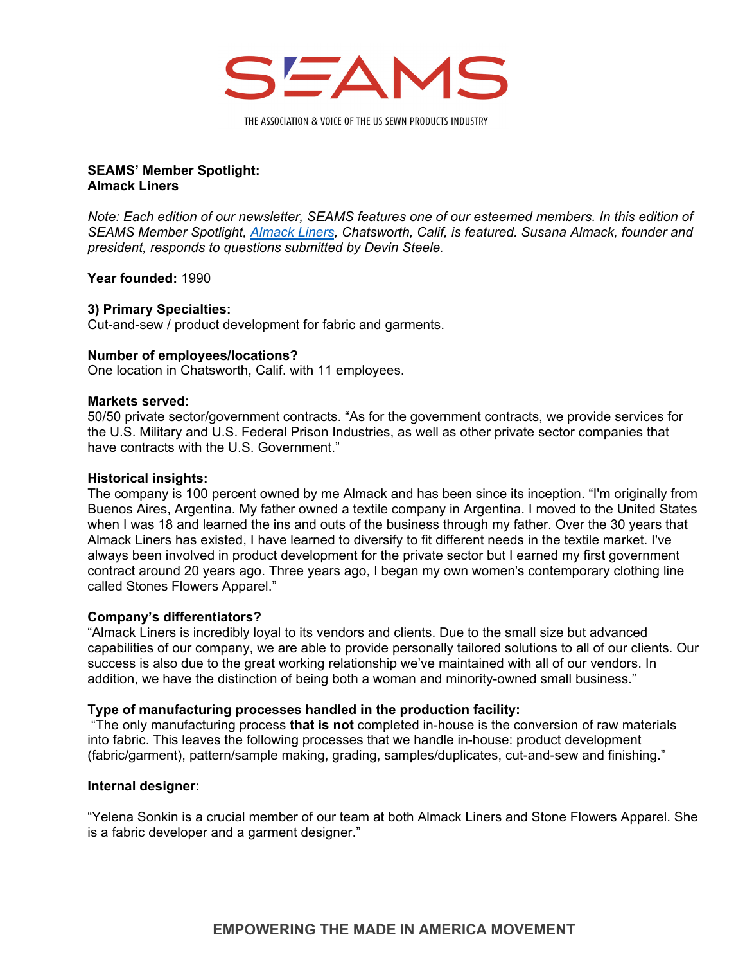

THE ASSOCIATION & VOICE OF THE US SEWN PRODUCTS INDUSTRY

# **SEAMS' Member Spotlight: Almack Liners**

*Note: Each edition of our newsletter, SEAMS features one of our esteemed members. In this edition of SEAMS Member Spotlight, [Almack Liners,](http://www.almackliners.com/) Chatsworth, Calif, is featured. Susana Almack, founder and president, responds to questions submitted by Devin Steele.* 

**Year founded:** 1990

# **3) Primary Specialties:**

Cut-and-sew / product development for fabric and garments.

# **Number of employees/locations?**

One location in Chatsworth, Calif. with 11 employees.

### **Markets served:**

50/50 private sector/government contracts. "As for the government contracts, we provide services for the U.S. Military and U.S. Federal Prison Industries, as well as other private sector companies that have contracts with the U.S. Government."

#### **Historical insights:**

The company is 100 percent owned by me Almack and has been since its inception. "I'm originally from Buenos Aires, Argentina. My father owned a textile company in Argentina. I moved to the United States when I was 18 and learned the ins and outs of the business through my father. Over the 30 years that Almack Liners has existed, I have learned to diversify to fit different needs in the textile market. I've always been involved in product development for the private sector but I earned my first government contract around 20 years ago. Three years ago, I began my own women's contemporary clothing line called Stones Flowers Apparel."

# **Company's differentiators?**

"Almack Liners is incredibly loyal to its vendors and clients. Due to the small size but advanced capabilities of our company, we are able to provide personally tailored solutions to all of our clients. Our success is also due to the great working relationship we've maintained with all of our vendors. In addition, we have the distinction of being both a woman and minority-owned small business."

# **Type of manufacturing processes handled in the production facility:**

 "The only manufacturing process **that is not** completed in-house is the conversion of raw materials into fabric. This leaves the following processes that we handle in-house: product development (fabric/garment), pattern/sample making, grading, samples/duplicates, cut-and-sew and finishing."

#### **Internal designer:**

"Yelena Sonkin is a crucial member of our team at both Almack Liners and Stone Flowers Apparel. She is a fabric developer and a garment designer."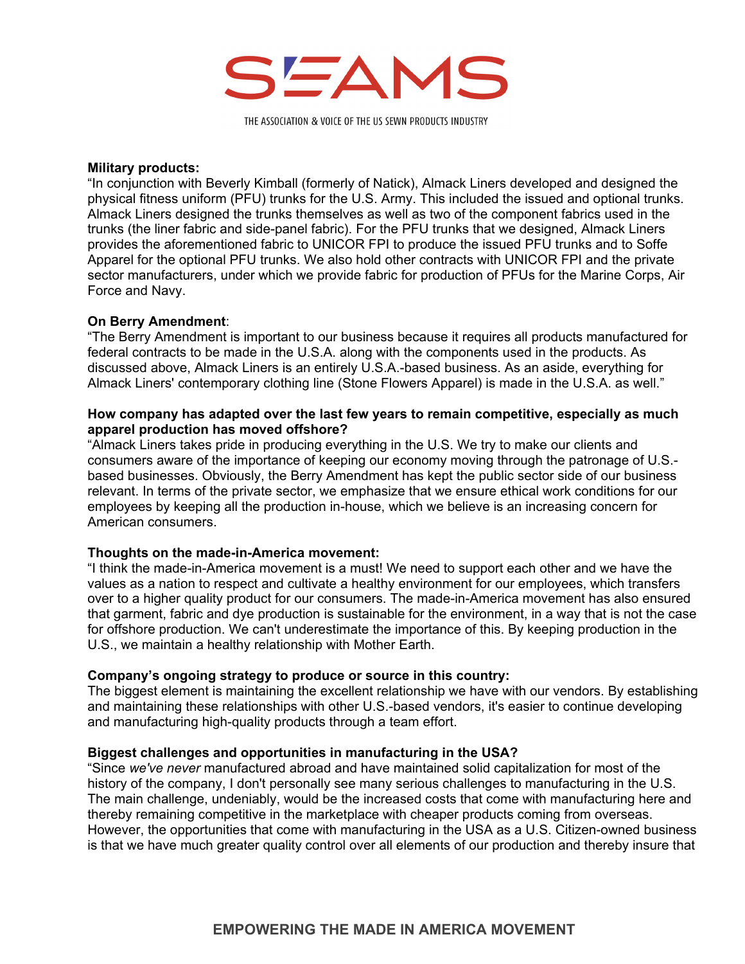

THE ASSOCIATION & VOICE OF THE US SEWN PRODUCTS INDUSTRY

#### **Military products:**

"In conjunction with Beverly Kimball (formerly of Natick), Almack Liners developed and designed the physical fitness uniform (PFU) trunks for the U.S. Army. This included the issued and optional trunks. Almack Liners designed the trunks themselves as well as two of the component fabrics used in the trunks (the liner fabric and side-panel fabric). For the PFU trunks that we designed, Almack Liners provides the aforementioned fabric to UNICOR FPI to produce the issued PFU trunks and to Soffe Apparel for the optional PFU trunks. We also hold other contracts with UNICOR FPI and the private sector manufacturers, under which we provide fabric for production of PFUs for the Marine Corps, Air Force and Navy.

# **On Berry Amendment**:

"The Berry Amendment is important to our business because it requires all products manufactured for federal contracts to be made in the U.S.A. along with the components used in the products. As discussed above, Almack Liners is an entirely U.S.A.-based business. As an aside, everything for Almack Liners' contemporary clothing line (Stone Flowers Apparel) is made in the U.S.A. as well."

### **How company has adapted over the last few years to remain competitive, especially as much apparel production has moved offshore?**

"Almack Liners takes pride in producing everything in the U.S. We try to make our clients and consumers aware of the importance of keeping our economy moving through the patronage of U.S. based businesses. Obviously, the Berry Amendment has kept the public sector side of our business relevant. In terms of the private sector, we emphasize that we ensure ethical work conditions for our employees by keeping all the production in-house, which we believe is an increasing concern for American consumers.

# **Thoughts on the made-in-America movement:**

"I think the made-in-America movement is a must! We need to support each other and we have the values as a nation to respect and cultivate a healthy environment for our employees, which transfers over to a higher quality product for our consumers. The made-in-America movement has also ensured that garment, fabric and dye production is sustainable for the environment, in a way that is not the case for offshore production. We can't underestimate the importance of this. By keeping production in the U.S., we maintain a healthy relationship with Mother Earth.

#### **Company's ongoing strategy to produce or source in this country:**

The biggest element is maintaining the excellent relationship we have with our vendors. By establishing and maintaining these relationships with other U.S.-based vendors, it's easier to continue developing and manufacturing high-quality products through a team effort.

#### **Biggest challenges and opportunities in manufacturing in the USA?**

"Since *we've never* manufactured abroad and have maintained solid capitalization for most of the history of the company, I don't personally see many serious challenges to manufacturing in the U.S. The main challenge, undeniably, would be the increased costs that come with manufacturing here and thereby remaining competitive in the marketplace with cheaper products coming from overseas. However, the opportunities that come with manufacturing in the USA as a U.S. Citizen-owned business is that we have much greater quality control over all elements of our production and thereby insure that